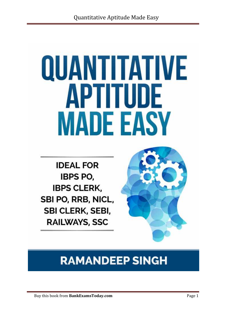# QUANTITATIVE APTITUDE **MADE EASY**

**IDEAL FOR IBPS PO. IBPS CLERK,** SBI PO, RRB, NICL, SBI CLERK, SEBI, **RAILWAYS, SSC** 



# **RAMANDEEP SINGH**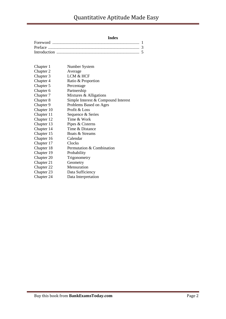#### **Index**

| Chapter 1  | Number System                       |
|------------|-------------------------------------|
| Chapter 2  | Average                             |
| Chapter 3  | LCM & HCF                           |
| Chapter 4  | Ratio & Proportion                  |
| Chapter 5  | Percentage                          |
| Chapter 6  | Partnership                         |
| Chapter 7  | Mixtures & Alligations              |
| Chapter 8  | Simple Interest & Compound Interest |
| Chapter 9  | Problems Based on Ages              |
| Chapter 10 | Profit & Loss                       |
| Chapter 11 | Sequence & Series                   |
| Chapter 12 | Time & Work                         |
| Chapter 13 | Pipes & Cisterns                    |
| Chapter 14 | Time & Distance                     |
| Chapter 15 | Boats & Streams                     |
| Chapter 16 | Calendar                            |
| Chapter 17 | Clocks                              |
| Chapter 18 | Permutation & Combination           |
| Chapter 19 | Probability                         |
| Chapter 20 | Trigonometry                        |
| Chapter 21 | Geometry                            |
| Chapter 22 | Mensuration                         |
| Chapter 23 | Data Sufficiency                    |
| Chapter 24 | Data Interpretation                 |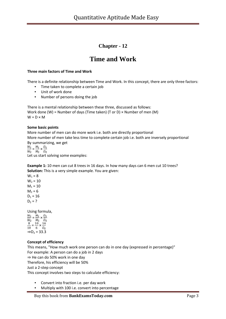### **Chapter - 12**

## **Time and Work**

#### **Three main factors of Time and Work**

There is a definite relationship between Time and Work. In this concept, there are only three factors:

- Time taken to complete a certain job
- Unit of work done
- Number of persons doing the job

There is a mental relationship between these three, discussed as follows: Work done (W) = Number of days (Time taken) (T or D)  $\times$  Number of men (M)  $W = D \times M$ 

#### **Some basic points**

More number of men can do more work i.e. both are directly proportional More number of men take less time to complete certain job i.e. both are inversely proportional By summarizing, we get

 $\frac{W_1}{W_2} = \frac{M_1}{M_2} \times \frac{D_1}{D_2}$ Let us start solving some examples:

**Example 1:** 10 men can cut 8 trees in 16 days. In how many days can 6 men cut 10 trees? **Solution:** This is a very simple example. You are given:

 $W_1 = 8$  $W_2 = 10$  $M_1 = 10$  $M_2 = 6$  $D_1 = 16$  $D_2 = ?$ 

Using formula,

 $\frac{W_1}{W_2} = \frac{M_1}{M_2} \times \frac{D_1}{D_2}$  $\frac{8}{10} = \frac{10}{6} \times \frac{16}{D_2}$  $\Rightarrow$  D<sub>2</sub> = 33.3

#### **Concept of efficiency**

This means, "How much work one person can do in one day (expressed in percentage)" For example: A person can do a job in 2 days

⇒ He can do 50% work in one day

Therefore, his efficiency will be 50%

Just a 2-step concept

This concept involves two steps to calculate efficiency:

- Convert into fraction i.e. per day work
- Multiply with 100 i.e. convert into percentage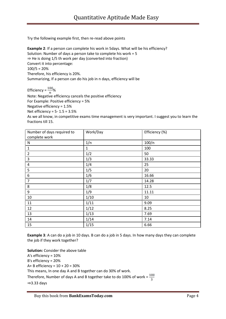Try the following example first, then re-read above points

**Example 2**: If a person can complete his work in 5days. What will be his efficiency? Solution: Number of days a person take to complete his work = 5 ⇒ He is doing 1/5 th work per day (converted into fraction) Convert it into percentage:  $100/5 = 20%$ Therefore, his efficiency is 20%. Summarizing, If a person can do his job in n days, efficiency will be

Efficiency =  $\frac{100}{n}$ %

Note: Negative efficiency cancels the positive efficiency For Example: Positive efficiency = 5% Negative efficiency = 1.5% Net efficiency = 5- 1.5 = 3.5% As we all know, in competitive exams time management is very important. I suggest you to learn the fractions till 15.

| Number of days required to | Work/Day     | Efficiency (%) |
|----------------------------|--------------|----------------|
| complete work              |              |                |
| N                          | 1/n          | 100/n          |
| $\mathbf 1$                | $\mathbf{1}$ | 100            |
| $\overline{2}$             | 1/2          | 50             |
| $\mathsf 3$                | 1/3          | 33.33          |
| $\overline{4}$             | 1/4          | 25             |
| 5                          | 1/5          | 20             |
| 6                          | 1/6          | 16.66          |
| $\overline{7}$             | 1/7          | 14.28          |
| 8                          | 1/8          | 12.5           |
| 9                          | 1/9          | 11.11          |
| 10                         | 1/10         | 10             |
| 11                         | 1/11         | 9.09           |
| 12                         | 1/12         | 8.25           |
| 13                         | 1/13         | 7.69           |
| 14                         | 1/14         | 7.14           |
| 15                         | 1/15         | 6.66           |

**Example 3**: A can do a job in 10 days. B can do a job in 5 days. In how many days they can complete the job if they work together?

**Solution:** Consider the above table A's efficiency = 10% B's efficiency = 20% A+ B efficiency = 10 + 20 = 30% This means, In one day A and B together can do 30% of work. Therefore, Number of days A and B together take to do 100% of work =  $\frac{100}{3}$ ⇒3.33 days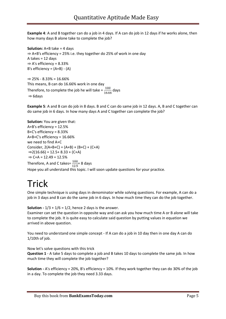**Example 4**: A and B together can do a job in 4 days. If A can do job in 12 days if he works alone, then how many days B alone take to complete the job?

**Solution:** A+B take = 4 days ⇒ A+B's efficiency = 25% i.e. they together do 25% of work in one day A takes  $= 12$  days  $\Rightarrow$  A's efficiency = 8.33% B's efficiency = (A+B) - (A)

 $\Rightarrow$  25% - 8.33% = 16.66% This means, B can do 16.66% work in one day Therefore, to complete the job he will take  $=\frac{100}{16.66}$  days ⇒ 6days

**Example 5**: A and B can do job in 8 days. B and C can do same job in 12 days. A, B and C together can do same job in 6 days. In how many days A and C together can complete the job?

**Solution:** You are given that: A+B's efficiency = 12.5% B+C's efficiency = 8.33% A+B+C's efficiency = 16.66% we need to find A+C Consider,  $2(A+B+C) = (A+B) + (B+C) + (C+A)$  $\Rightarrow$  2(16.66) = 12.5+ 8.33 + (C+A)  $\Rightarrow$  C+A = 12.49 = 12.5% Therefore, A and C takes= $\frac{100}{12.5}$  8 days Hope you all understand this topic. I will soon update questions for your practice.

## **Trick**

One simple technique is using days in denominator while solving questions. For example, A can do a job in 3 days and B can do the same job in 6 days. In how much time they can do the job together.

**Solution -**  $1/3 + 1/6 = 1/2$ , hence 2 days is the answer.

Examiner can set the question in opposite way and can ask you how much time A or B alone will take to complete the job. It is quite easy to calculate said question by putting values in equation we arrived in above question.

You need to understand one simple concept - If A can do a job in 10 day then in one day A can do 1/10th of job.

Now let's solve questions with this trick

**Question 1** - A take 5 days to complete a job and B takes 10 days to complete the same job. In how much time they will complete the job together?

**Solution -** A's efficiency = 20%, B's efficiency = 10%. If they work together they can do 30% of the job in a day. To complete the job they need 3.33 days.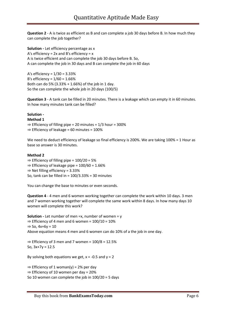**Question 2** - A is twice as efficient as B and can complete a job 30 days before B. In how much they can complete the job together?

**Solution -** Let efficiency percentage as x A's efficiency =  $2x$  and B's efficiency =  $x$ A is twice efficient and can complete the job 30 days before B. So, A can complete the job in 30 days and B can complete the job in 60 days

A's efficiency = 1/30 = 3.33% B's efficiency = 1/60 = 1.66% Both can do 5% (3.33% + 1.66%) of the job in 1 day. So the can complete the whole job in 20 days (100/5)

**Question 3** - A tank can be filled in 20 minutes. There is a leakage which can empty it in 60 minutes. In how many minutes tank can be filled?

#### **Solution -**

#### **Method 1**

 $\Rightarrow$  Efficiency of filling pipe = 20 minutes = 1/3 hour = 300% ⇒ Efficiency of leakage = 60 minutes = 100%

We need to deduct efficiency of leakage so final efficiency is 200%. We are taking 100% = 1 Hour as base so answer is 30 minutes.

#### **Method 2**

 $\Rightarrow$  Efficiency of filling pipe = 100/20 = 5%

 $\Rightarrow$  Efficiency of leakage pipe = 100/60 = 1.66%

⇒ Net filling efficiency = 3.33%

So, tank can be filled in = 100/3.33% = 30 minutes

You can change the base to minutes or even seconds.

**Question 4** - 4 men and 6 women working together can complete the work within 10 days. 3 men and 7 women working together will complete the same work within 8 days. In how many days 10 women will complete this work?

**Solution -** Let number of men =x, number of women = y  $\Rightarrow$  Efficiency of 4 men and 6 women = 100/10 = 10%  $\Rightarrow$  So, 4x+6y = 10 Above equation means 4 men and 6 women can do 10% of a the job in one day.

 $\Rightarrow$  Efficiency of 3 men and 7 women = 100/8 = 12.5% So,  $3x+7y = 12.5$ 

By solving both equations we get,  $x = -0.5$  and  $y = 2$ 

 $\Rightarrow$  Efficiency of 1 woman(y) = 2% per day

 $\Rightarrow$  Efficiency of 10 women per day = 20%

So 10 women can complete the job in 100/20 = 5 days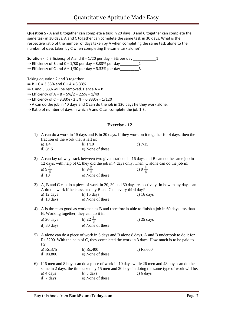**Question 5** - A and B together can complete a task in 20 days. B and C together can complete the same task in 30 days. A and C together can complete the same task in 30 days. What is the respective ratio of the number of days taken by A when completing the same task alone to the number of days taken by C when completing the same task alone?

**Solution**  $\rightarrow$  Efficiency of A and B = 1/20 per day = 5% per day \_\_\_\_\_\_\_\_\_\_\_\_1<br>
⇒ Efficiency of B and C = 1/30 per day = 3.33% per day 2  $\Rightarrow$  Efficiency of B and C = 1/30 per day = 3.33% per day  $\Rightarrow$  Efficiency of C and A = 1/30 per day = 3.33% per day  $\Rightarrow$ 

Taking equation 2 and 3 together

 $\Rightarrow$  B + C = 3.33% and C + A = 3.33%

 $\Rightarrow$  C and 3.33% will be removed. Hence A = B

 $\Rightarrow$  Efficiency of A = B = 5%/2 = 2.5% = 1/40

 $\Rightarrow$  Efficiency of C = 3.33% - 2.5% = 0.833% = 1/120

⇒ A can do the job in 40 days and C can do the job in 120 days he they work alone.

⇒ Ratio of number of days in which A and C can complete the job 1:3.

#### **Exercise - 12**

- 1) A can do a work in 15 days and B in 20 days. If they work on it together for 4 days, then the fraction of the work that is left is: a)  $1/4$  b)  $1/10$  c)  $7/15$ 
	- d)  $8/15$  e) None of these
- 2) A can lay railway track between two given stations in 16 days and B can do the same job in 12 days, with help of C, they did the job in 4 days only. Then, C alone can do the job in: a) 9  $\frac{4}{5}$  b) 9  $\frac{6}{5}$  c) 9  $\frac{9}{5}$ 
	- d) 10 e) None of these
- 3) A, B and C can do a piece of work in 20, 30 and 60 days respectively. In how many days can A do the work if he is assisted by B and C on every third day?

| a) $12 \text{ days}$ | b) $15 \text{ days}$ | c) $16 \text{ days}$ |
|----------------------|----------------------|----------------------|
| $d)$ 18 days         | e) None of these     |                      |

4) A is thrice as good as workman as B and therefore is able to finish a job in 60 days less than B. Working together, they can do it in:

| a) $20 \text{ days}$ | b) $22 \pm$      | c) $25 \text{ days}$ |
|----------------------|------------------|----------------------|
| $d)$ 30 days         | e) None of these |                      |

5) A alone can do a piece of work in 6 days and B alone 8 days. A and B undertook to do it for Rs.3200. With the help of C, they completed the work in 3 days. How much is to be paid to C?

a) Rs.375 b) Rs.400 c) Rs.600 d) Rs.800 e) None of these

6) If 6 men and 8 boys can do a piece of work in 10 days while 26 men and 48 boys can do the same in 2 days, the time taken by 15 men and 20 boys in doing the same type of work will be: a)  $4 \text{ days}$  b)  $5 \text{ days}$  c)  $6 \text{ days}$ d) 7 days e) None of these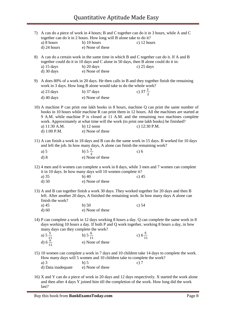|                                                                                                                                                                                                                                     | a) 8 hours<br>d) 24 hours                                                                                                                                                    | together can do it in 2 hours. How long will B alone take to do it?<br>$b)$ 10 hours<br>e) None of these                  | 7) A can do a piece of work in 4 hours; B and C together can do it in 3 hours, while A and C<br>c) $12$ hours                                                                                                                                                                                        |  |
|-------------------------------------------------------------------------------------------------------------------------------------------------------------------------------------------------------------------------------------|------------------------------------------------------------------------------------------------------------------------------------------------------------------------------|---------------------------------------------------------------------------------------------------------------------------|------------------------------------------------------------------------------------------------------------------------------------------------------------------------------------------------------------------------------------------------------------------------------------------------------|--|
| 8)                                                                                                                                                                                                                                  | a) $15 \text{ days}$<br>$d)$ 30 days                                                                                                                                         | together could do it in 10 days and C alone in 50 days, then B alone could do it in:<br>$b)$ 20 days<br>e) None of these  | A can do a certain work in the same time in which B and C together can do it. If A and B<br>c) $25 \text{ days}$                                                                                                                                                                                     |  |
| 9)                                                                                                                                                                                                                                  |                                                                                                                                                                              | work in 3 days. How long B alone would take to do the whole work?                                                         | A does 80% of a work in 20 days. He then calls in B and they together finish the remaining                                                                                                                                                                                                           |  |
|                                                                                                                                                                                                                                     | a) 23 days                                                                                                                                                                   | $b)$ 37 days                                                                                                              | c) $37\frac{1}{2}$                                                                                                                                                                                                                                                                                   |  |
|                                                                                                                                                                                                                                     | $d)$ 40 days                                                                                                                                                                 | e) None of these                                                                                                          |                                                                                                                                                                                                                                                                                                      |  |
|                                                                                                                                                                                                                                     | a) 11:30 A.M.<br>d) 1:00 P.M.                                                                                                                                                | work. Approximately at what time will the work (to print one lakh books) be finished?<br>b) $12$ noon<br>e) None of these | 10) A machine P can print one lakh books in 8 hours, machine Q can print the same number of<br>books in 10 hours while machine R can print them in 12 hours. All the machines are started at<br>9 A.M. while machine P is closed at 11 A.M. and the remaining two machines complete<br>c) 12:30 P.M. |  |
|                                                                                                                                                                                                                                     | 11) A can finish a work in 18 days and B can do the same work in 15 days. B worked for 10 days<br>and left the job. In how many days, A alone can finish the remaining work? |                                                                                                                           |                                                                                                                                                                                                                                                                                                      |  |
|                                                                                                                                                                                                                                     | a) 5                                                                                                                                                                         | b) $5\frac{1}{2}$                                                                                                         | c) 6                                                                                                                                                                                                                                                                                                 |  |
|                                                                                                                                                                                                                                     | $d)$ 8                                                                                                                                                                       | e) None of these                                                                                                          |                                                                                                                                                                                                                                                                                                      |  |
|                                                                                                                                                                                                                                     |                                                                                                                                                                              | it in 10 days. In how many days will 10 women complete it?                                                                | 12) 4 men and 6 women can complete a work in 8 days, while 3 men and 7 women can complete                                                                                                                                                                                                            |  |
|                                                                                                                                                                                                                                     | a) 35                                                                                                                                                                        | $b)$ 40                                                                                                                   | c) $45$                                                                                                                                                                                                                                                                                              |  |
|                                                                                                                                                                                                                                     | $d$ ) 50                                                                                                                                                                     | e) None of these                                                                                                          |                                                                                                                                                                                                                                                                                                      |  |
|                                                                                                                                                                                                                                     | finish the work?                                                                                                                                                             |                                                                                                                           | 13) A and B can together finish a work 30 days. They worked together for 20 days and then B<br>left. After another 20 days, A finished the remaining work. In how many days A alone can                                                                                                              |  |
|                                                                                                                                                                                                                                     | a) $45$                                                                                                                                                                      | $b)$ 50                                                                                                                   | c) 54                                                                                                                                                                                                                                                                                                |  |
|                                                                                                                                                                                                                                     | $d)$ 60                                                                                                                                                                      | e) None of these                                                                                                          |                                                                                                                                                                                                                                                                                                      |  |
| 14) P can complete a work in 12 days working 8 hours a day. Q can complete the same work in 8<br>days working 10 hours a day. If both P and Q work together, working 8 hours a day, in how<br>many days can they complete the work? |                                                                                                                                                                              |                                                                                                                           |                                                                                                                                                                                                                                                                                                      |  |
|                                                                                                                                                                                                                                     | a) $5\frac{5}{11}$                                                                                                                                                           | b) $5\frac{6}{11}$                                                                                                        | c) $6\frac{5}{11}$                                                                                                                                                                                                                                                                                   |  |
|                                                                                                                                                                                                                                     | d) $6\frac{6}{11}$                                                                                                                                                           | e) None of these                                                                                                          |                                                                                                                                                                                                                                                                                                      |  |
|                                                                                                                                                                                                                                     | a) $3$                                                                                                                                                                       | How many days will 5 women and 10 children take to complete the work?<br>$b)$ 5                                           | 15) 10 women can complete a work in 7 days and 10 children take 14 days to complete the work.<br>c) $7$                                                                                                                                                                                              |  |
|                                                                                                                                                                                                                                     | d) Data inadequate                                                                                                                                                           | e) None of these                                                                                                          |                                                                                                                                                                                                                                                                                                      |  |
|                                                                                                                                                                                                                                     |                                                                                                                                                                              |                                                                                                                           | 16) X and Y can do a piece of work in 20 days and 12 days respectively. X started the work alone                                                                                                                                                                                                     |  |

and then after 4 days Y joined him till the completion of the work. How long did the work

Buy this book from **BankExamsToday.com** Page 8

last?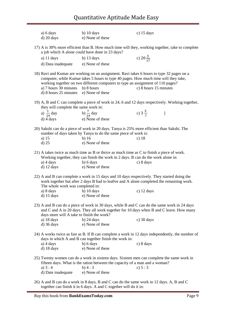| a) $6 \, \text{days}$<br>$d)$ 20 days                                                                                                                                                                      | b) $10 \text{ days}$<br>e) None of these                                                                                                                                                                 | c) $15 \text{ days}$                                                                                                                                                                                    |  |
|------------------------------------------------------------------------------------------------------------------------------------------------------------------------------------------------------------|----------------------------------------------------------------------------------------------------------------------------------------------------------------------------------------------------------|---------------------------------------------------------------------------------------------------------------------------------------------------------------------------------------------------------|--|
| 17) A is 30% more efficient than B. How much time will they, working together, take to complete<br>a job which A alone could have done in 23 days?                                                         |                                                                                                                                                                                                          |                                                                                                                                                                                                         |  |
| a) $11 \text{ days}$<br>d) Data inadequate                                                                                                                                                                 | b) $13 \text{ days}$<br>e) None of these                                                                                                                                                                 | c) $20\frac{3}{17}$                                                                                                                                                                                     |  |
| a) 7 hours 30 minutes<br>d) 8 hours 25 minutes                                                                                                                                                             | computer, while Kumar takes 5 hours to type 40 pages. How much time will they take,<br>working together on two different computers to type an assignment of 110 pages?<br>b) 8 hours<br>e) None of these | 18) Ravi and Kumar are working on an assignment. Ravi takes 6 hours to type 32 pages on a<br>c) 8 hours 15 minutes                                                                                      |  |
| they will complete the same work in:                                                                                                                                                                       |                                                                                                                                                                                                          | 19) A, B and C can complete a piece of work in 24, 6 and 12 days respectively. Working together,                                                                                                        |  |
| a) $\frac{1}{24}$ day b) $\frac{7}{24}$ day<br>d) 4 days                                                                                                                                                   | e) None of these                                                                                                                                                                                         | c) $3\frac{3}{7}$ ]                                                                                                                                                                                     |  |
| a) $15$<br>$d)$ 25                                                                                                                                                                                         | 20) Sakshi can do a piece of work in 20 days. Tanya is 25% more efficient than Sakshi. The<br>number of days taken by Tanya to do the same piece of work is:<br>$b)$ 16<br>e) None of these              | c) $18$                                                                                                                                                                                                 |  |
| a) $4 \text{ days}$                                                                                                                                                                                        | 21) A takes twice as much time as B or thrice as much time as C to finish a piece of work.<br>Working together, they can finish the work in 2 days. B can do the work alone in:<br>b) 6 days             | c) 8 days                                                                                                                                                                                               |  |
| $d)$ 12 days                                                                                                                                                                                               | e) None of these                                                                                                                                                                                         |                                                                                                                                                                                                         |  |
| The whole work was completed in:                                                                                                                                                                           |                                                                                                                                                                                                          | 22) A and B can complete a work in 15 days and 10 days respectively. They started doing the<br>work together but after 2 days B had to lea0ve and A alone completed the remaining work.                 |  |
| a) 8 days<br>$d)$ 15 days                                                                                                                                                                                  | b) $10 \text{ days}$<br>e) None of these                                                                                                                                                                 | c) $12 \text{ days}$                                                                                                                                                                                    |  |
| days more will A take to finish the work?<br>a) $18 \text{ days}$<br>$d)$ 36 days                                                                                                                          | b) $24 \text{ days}$<br>e) None of these                                                                                                                                                                 | 23) A and B can do a piece of work in 30 days, while B and C can do the same work in 24 days<br>and C and A in 20 days. They all work together for 10 days when B and C leave. How many<br>$c)$ 30 days |  |
|                                                                                                                                                                                                            | days in which A and B can together finish the work in:                                                                                                                                                   | 24) A works twice as fast as B. If B can complete a work in 12 days independently, the number of                                                                                                        |  |
| a) $4 \text{ days}$<br>$d)$ 18 days                                                                                                                                                                        | b) 6 days<br>e) None of these                                                                                                                                                                            | c) 8 days                                                                                                                                                                                               |  |
| 25) Twenty women can do a work in sixteen days. Sixteen men can complete the same work in<br>fifteen days. What is the ration between the capacity of a man and a woman?<br>a) $3:4$<br>b) 4:3<br>c) $5:3$ |                                                                                                                                                                                                          |                                                                                                                                                                                                         |  |
| d) Date inadequate                                                                                                                                                                                         | e) None of these<br>26) A and B can do a work in 8 days B and C can do the same work in 12 days A B and C                                                                                                |                                                                                                                                                                                                         |  |

26) A and B can do a work in 8 days, B and C can do the same work in 12 days. A, B and C together can finish it in 6 days. A and C together will do it in: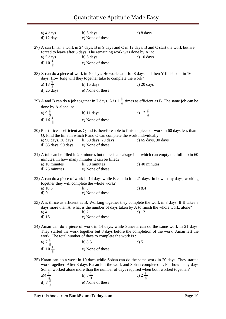| a) $4 \text{ days}$<br>$d)$ 12 days                                                                                                                                                                                                                 | b) 6 days<br>e) None of these                                                                                    | c) 8 days                                                                                                                                                                                                                                                                        |  |
|-----------------------------------------------------------------------------------------------------------------------------------------------------------------------------------------------------------------------------------------------------|------------------------------------------------------------------------------------------------------------------|----------------------------------------------------------------------------------------------------------------------------------------------------------------------------------------------------------------------------------------------------------------------------------|--|
| 27) A can finish a work in 24 days, B in 9 days and C in 12 days. B and C start the work but are<br>forced to leave after 3 days. The remaining work was done by A in:                                                                              |                                                                                                                  |                                                                                                                                                                                                                                                                                  |  |
| a) 5 days                                                                                                                                                                                                                                           | b) 6 days                                                                                                        | c) $10 \text{ days}$                                                                                                                                                                                                                                                             |  |
| d) $10\frac{1}{7}$                                                                                                                                                                                                                                  | e) None of these                                                                                                 |                                                                                                                                                                                                                                                                                  |  |
|                                                                                                                                                                                                                                                     | days. How long will they together take to complete the work?                                                     | 28) X can do a piece of work in 40 days. He works at it for 8 days and then Y finished it in 16                                                                                                                                                                                  |  |
| a) $13\frac{1}{3}$                                                                                                                                                                                                                                  | b) $15 \text{ days}$                                                                                             | c) $20 \text{ days}$                                                                                                                                                                                                                                                             |  |
| $d)$ 26 days                                                                                                                                                                                                                                        | e) None of these                                                                                                 |                                                                                                                                                                                                                                                                                  |  |
|                                                                                                                                                                                                                                                     |                                                                                                                  | 29) A and B can do a job together in 7 days. A is $1\frac{3}{4}$ times as efficient as B. The same job can be                                                                                                                                                                    |  |
| done by A alone in:                                                                                                                                                                                                                                 |                                                                                                                  |                                                                                                                                                                                                                                                                                  |  |
| b) 11 days                                                                                                                                                                                                                                          |                                                                                                                  | c) $12\frac{1}{4}$                                                                                                                                                                                                                                                               |  |
| a) $9\frac{1}{3}$<br>d) $16\frac{1}{3}$                                                                                                                                                                                                             | e) None of these                                                                                                 |                                                                                                                                                                                                                                                                                  |  |
| a) 90 days, 30 days<br>d) 85 days, 90 days                                                                                                                                                                                                          | Q. Find the time in which P and Q can complete the work individually.<br>b) 60 days, 20 days<br>e) None of these | 30) P is thrice as efficient as Q and is therefore able to finish a piece of work in 60 days less than<br>c) 65 days, 30 days                                                                                                                                                    |  |
| minutes. In how many minutes it can be filled?                                                                                                                                                                                                      |                                                                                                                  | 31) A tub can be filled in 20 minutes but there is a leakage in it which can empty the full tub in 60                                                                                                                                                                            |  |
| a) 10 minutes<br>d) 25 minutes                                                                                                                                                                                                                      | b) 30 minutes<br>e) None of these                                                                                | c) 40 minutes                                                                                                                                                                                                                                                                    |  |
| together they will complete the whole work?                                                                                                                                                                                                         |                                                                                                                  | 32) A can do a piece of work in 14 days while B can do it in 21 days. In how many days, working                                                                                                                                                                                  |  |
| a) $10.5$                                                                                                                                                                                                                                           | b)8                                                                                                              | c) 8.4                                                                                                                                                                                                                                                                           |  |
| d)9                                                                                                                                                                                                                                                 | e) None of these                                                                                                 |                                                                                                                                                                                                                                                                                  |  |
| $a)$ 4<br>$d)$ 16                                                                                                                                                                                                                                   | b)2<br>e) None of these                                                                                          | 33) A is thrice as efficient as B. Working together they complete the work in 3 days. If B takes 8<br>days more than A, what is the number of days taken by A to finish the whole work, alone?<br>c) $12$                                                                        |  |
| 34) Aman can do a piece of work in 14 days, while Suneeta can do the same work in 21 days.<br>They started the work together but 3 days before the completion of the work, Aman left the<br>work. The total number of days to complete the work is: |                                                                                                                  |                                                                                                                                                                                                                                                                                  |  |
| a) $7\frac{1}{5}$                                                                                                                                                                                                                                   | b) $8.5$                                                                                                         | c) $5$                                                                                                                                                                                                                                                                           |  |
| d) $10\frac{1}{5}$                                                                                                                                                                                                                                  | e) None of these                                                                                                 |                                                                                                                                                                                                                                                                                  |  |
|                                                                                                                                                                                                                                                     |                                                                                                                  | 35) Karan can do a work in 10 days while Sohan can do the same work in 20 days. They started<br>work together. After 3 days Karan left the work and Sohan completed it. For how many days<br>Sohan worked alone more than the number of days required when both worked together? |  |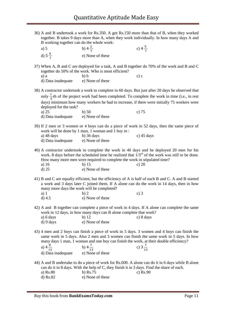36) A and B undertook a work for Rs.350. A got Rs.150 more than that of B, when they worked together. B takes 9 days more than A, when they work individually. In how many days A and B working together can do the whole work:

| a) 5                | b) $4\frac{2}{\pi}$ | c) $4\frac{5}{7}$ |
|---------------------|---------------------|-------------------|
| d) $5\frac{4}{\pi}$ | e) None of these    |                   |

37) When A, B and C are deployed for a task, A and B together do 70% of the work and B and C together do 50% of the work. Who is most efficient?

| a) a               | b) b             | c) c |
|--------------------|------------------|------|
| d) Data inadequate | e) None of these |      |

- 38) A contractor undertook a work to complete in 60 days. But just after 20 days he observed that only  $\frac{1}{e}$ th of the project work had been completed. To complete the work in time (i.e., in rest days) minimum how many workers he had to increase, if there were initially 75 workers were deployed for the task? a) 25 b) 50 c) 75 d) Data inadequate e) None of these
- 39) If 2 men or 3 women or 4 boys can do a piece of work in 52 days, then the same piece of work will be done by 1 man, 1 woman and 1 boy in :<br> $h$   $36 \text{ days}$ c)  $45$  days

| a) 48 days         | $\sigma$ ) 50 days |
|--------------------|--------------------|
| d) Data inadequate | e) None of these   |

40) A contractor undertook to complete the work in 40 days and he deployed 20 men for his work. 8 days before the scheduled time he realized that  $1/3^{rd}$  of the work was still to be done. How many more men were required to complete the work in stipulated time?

| a) 16   | $b)$ 15          | c) $20$ |
|---------|------------------|---------|
| $d)$ 25 | e) None of these |         |

41) B and C are equally efficient, but the efficiency of A is half of each B and C. A and B started a work and 3 days later C joined them. If A alone can do the work in 14 days, then in how many more days the work will be completed?

| a) 1     | b)2              | c) $3$ |
|----------|------------------|--------|
| d) $4.5$ | e) None of these |        |

42) A and B together can complete a piece of work in 4 days. If A alone can complete the same work in 12 days, in how many days can B alone complete that work?<br>a) 6 days b) 12 c) 8 days a) 6 days b) 12 c) 8 days

| a) u uays | U/L              |  |
|-----------|------------------|--|
| d) 9 days | e) None of these |  |

43) 4 men and 2 boys can finish a piece of work in 5 days. 3 women and 4 boys can finish the same work in 5 days. Also 2 men and 3 women can finish the same work in 5 days. In how many days 1 man, 1 woman and one boy can finish the work, at their double efficiency?

| a) $4\frac{6}{10}$ | b) $4 \div$      | c) $3\frac{1}{2}$ |
|--------------------|------------------|-------------------|
| d) Data inadequate | e) None of these |                   |

- 44) A and B undertake to do a piece of work for Rs.600. A alone can do it in 6 days while B alone can do it in 8 days. With the help of C, they finish it in 3 days. Find the share of each.
	- a) Rs.80 b) Rs.75 c) Rs.90 d) Rs.82 e) None of these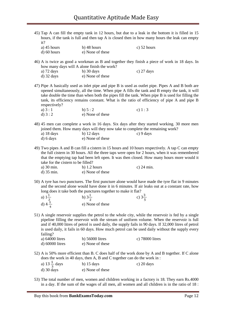| 45) Tap A can fill the empty tank in 12 hours, but due to a leak in the bottom it is filled in 15<br>hours, if the tank is full and then tap A is closed then in how many hours the leak can empty<br>it? |                                                                         |                                                                                                                                                                                                                                                                                                                                                                                                                 |
|-----------------------------------------------------------------------------------------------------------------------------------------------------------------------------------------------------------|-------------------------------------------------------------------------|-----------------------------------------------------------------------------------------------------------------------------------------------------------------------------------------------------------------------------------------------------------------------------------------------------------------------------------------------------------------------------------------------------------------|
| a) $45$ hours<br>d) 60 hours                                                                                                                                                                              | $b)$ 48 hours<br>e) None of these                                       | c) $52$ hours                                                                                                                                                                                                                                                                                                                                                                                                   |
|                                                                                                                                                                                                           | how many days will A alone finish the work?                             | 46) A is twice as good a workman as B and together they finish a piece of work in 18 days. In                                                                                                                                                                                                                                                                                                                   |
| a) $72 \text{ days}$<br>$d)$ 32 days                                                                                                                                                                      | $b)$ 30 days<br>e) None of these                                        | c) $27 \text{ days}$                                                                                                                                                                                                                                                                                                                                                                                            |
| respectively?                                                                                                                                                                                             |                                                                         | 47) Pipe A basically used as inlet pipe and pipe B is used as outlet pipe. Pipes A and B both are<br>opened simultaneously, all the time. When pipe A fills the tank and B empty the tank, it will<br>take double the time than when both the pipes fill the tank. When pipe B is used for filling the<br>tank, its efficiency remains constant. What is the ratio of efficiency of pipe A and pipe B           |
| a) $3:1$                                                                                                                                                                                                  | b) $5:2$                                                                | c) $1:3$                                                                                                                                                                                                                                                                                                                                                                                                        |
| d) $3:2$                                                                                                                                                                                                  | e) None of these                                                        |                                                                                                                                                                                                                                                                                                                                                                                                                 |
|                                                                                                                                                                                                           |                                                                         | 48) 45 men can complete a work in 16 days. Six days after they started working. 30 more men<br>joined them. How many days will they now take to complete the remaining work?                                                                                                                                                                                                                                    |
| a) $18 \text{ days}$<br>d) 6 days                                                                                                                                                                         | $b)$ 12 days<br>e) None of these                                        | $c)$ 9 days                                                                                                                                                                                                                                                                                                                                                                                                     |
|                                                                                                                                                                                                           | take for the cistern to be filled?                                      | 49) Two pipes A and B can fill a cistern in 15 hours and 10 hours respectively. A tap C can empty<br>the full cistern in 30 hours. All the three taps were open for 2 hours, when it was remembered<br>that the emptying tap had been left open. It was then closed. How many hours more would it                                                                                                               |
| a) $30 \text{ min}$ .<br>$d)$ 35 min.                                                                                                                                                                     | b) $1.2$ hours<br>e) None of these                                      | c) $24 \text{ min.}$                                                                                                                                                                                                                                                                                                                                                                                            |
|                                                                                                                                                                                                           | long does it take both the punctures together to make it flat?          | 50) A tyre has two punctures. The first puncture alone would have made the tyre flat in 9 minutes<br>and the second alone would have done it in 6 minutes. If air leaks out at a constant rate, how                                                                                                                                                                                                             |
| a) $1\frac{1}{2}$                                                                                                                                                                                         | b) $3\frac{1}{2}$                                                       | c) $3\frac{3}{5}$                                                                                                                                                                                                                                                                                                                                                                                               |
| d) $4\frac{2}{1}$                                                                                                                                                                                         | e) None of these                                                        |                                                                                                                                                                                                                                                                                                                                                                                                                 |
| failing?                                                                                                                                                                                                  |                                                                         | 51) A single reservoir supplies the petrol to the whole city, while the reservoir is fed by a single<br>pipeline filling the reservoir with the stream of uniform volume. When the reservoir is full<br>and if 40,000 litres of petrol is used daily, the supply fails in 90 days. If 32,000 litres of petrol<br>is used daily, it fails in 60 days. How much petrol can be used daily without the supply every |
| a) 64000 litres<br>d) 60000 litres                                                                                                                                                                        | b) $56000$ litres<br>e) None of these                                   | c) 78000 litres                                                                                                                                                                                                                                                                                                                                                                                                 |
|                                                                                                                                                                                                           | does the work in 40 days, then A, B and C together can do the work in : | 52) A is 50% more efficient than B. C does half of the work done by A and B together. If C alone                                                                                                                                                                                                                                                                                                                |
| a) $13\frac{1}{2}$ days                                                                                                                                                                                   | b) $15 \text{ days}$                                                    | c) $20 \text{ days}$                                                                                                                                                                                                                                                                                                                                                                                            |
| $d)$ 30 days                                                                                                                                                                                              | e) None of these                                                        |                                                                                                                                                                                                                                                                                                                                                                                                                 |

53) The total number of men, women and children working in a factory is 18. They earn Rs.4000 in a day. If the sum of the wages of all men, all women and all children is in the ratio of 18 :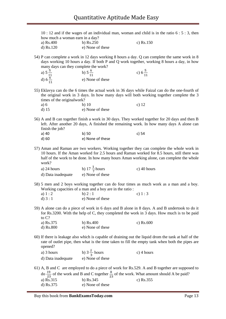10 : 12 and if the wages of an individual man, woman and child is in the ratio 6 : 5 : 3, then how much a woman earn in a day?

- a) Rs.400 b) Rs.250 c) Rs.150 d) Rs.120 e) None of these
- 54) P can complete a work in 12 days working 8 hours a day. Q can complete the same work in 8 days working 10 hours a day. If both P and Q work together, working 8 hours a day, in how many days can they complete the work?

a) 
$$
5\frac{5}{11}
$$
   
b)  $5\frac{6}{11}$    
c)  $6\frac{5}{11}$    
d)  $6\frac{6}{11}$    
e) None of these

- 55) Eklavya can do the 6 times the actual work in 36 days while Faizal can do the one-fourth of the original work in 3 days. In how many days will both working together complete the 3 times of the originalwork?
	- a) 6 b) 10 c) 12 d) 15 e) None of these
- 56) A and B can together finish a work in 30 days. They worked together for 20 days and then B left. After another 20 days, A finished the remaining work. In how many days A alone can finish the job?

| a) 40    | b) 50            | c) 54 |
|----------|------------------|-------|
| $d$ ) 60 | e) None of these |       |

57) Aman and Raman are two workers. Working together they can complete the whole work in 10 hours. If the Aman worked for 2.5 hours and Raman worked for 8.5 hours, still there was half of the work to be done. In how many hours Aman working alone, can complete the whole work?

| a) $24$ hours      | b) $17 \frac{1}{4}$ hours | c) 40 hours |
|--------------------|---------------------------|-------------|
| d) Data inadequate | e) None of these          |             |

- 58) 5 men and 2 boys working together can do four times as much work as a man and a boy. Working capacities of a man and a boy are in the ratio :
	- a)  $1:2$  b)  $2:1$  c)  $1:3$ d)  $3:1$  e) None of these
- 59) A alone can do a piece of work in 6 days and B alone in 8 days. A and B undertook to do it for Rs.3200. With the help of C, they completed the work in 3 days. How much is to be paid to C? c)  $Rs.600$

| a) Rs.375   | b) $Rs.400$      |
|-------------|------------------|
| $d)$ Rs.800 | e) None of these |

- 60) If there is leakage also which is capable of draining out the liquid drom the tank at half of the rate of outlet pipe, then what is the time taken to fill the empty tank when both the pipes are opened?
	- a) 3 hours b)  $3\frac{2}{3}$  hours c) 4 hours<br>d) Data inadequate b) None of these d) Data inadequate
- 61) A, B and C are employed to do a piece of work for Rs.529. A and B together are supposed to do  $\frac{19}{23}$  of the work and B and C together  $\frac{8}{23}$  of the work. What amount should A be paid? a) Rs.315 b) Rs.345 c) Rs.355 d) Rs.375 e) None of these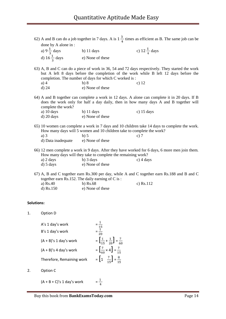| done by A alone in :                              |                                                                                  | 62) A and B can do a job together in 7 days. A is $1\frac{3}{4}$ times as efficient as B. The same job can be                                                                                     |
|---------------------------------------------------|----------------------------------------------------------------------------------|---------------------------------------------------------------------------------------------------------------------------------------------------------------------------------------------------|
|                                                   | b) 11 days                                                                       | c) $12\frac{1}{4}$ days                                                                                                                                                                           |
| a) $9\frac{1}{3}$ days<br>d) $16\frac{1}{3}$ days | e) None of these                                                                 |                                                                                                                                                                                                   |
| $a)$ 4<br>$d)$ 24                                 | completion. The number of days for which C worked is:<br>b)8<br>e) None of these | 63) A, B and C can do a piece of work in 36, 54 and 72 days respectively. They started the work<br>but A left 8 days before the completion of the work while B left 12 days before the<br>c) $12$ |
| complete the work?                                |                                                                                  | 64) A and B together can complete a work in 12 days. A alone can complete it in 20 days. If B<br>does the work only for half a day daily, then in how many days A and B together will             |
| a) 10 days<br>$d)$ 20 days                        | $b)$ 11 days<br>e) None of these                                                 | c) $15 \text{ days}$                                                                                                                                                                              |
|                                                   | How many days will 5 women and 10 children take to complete the work?            | 65) 10 women can complete a work in 7 days and 10 children take 14 days to complete the work.                                                                                                     |
| $a)$ 3                                            | $b)$ 5                                                                           | c) $7$                                                                                                                                                                                            |
| d) Data inadequate                                | e) None of these                                                                 |                                                                                                                                                                                                   |
|                                                   | How many days will they take to complete the remaining work?                     | 66) 12 men complete a work in 9 days. After they have worked for 6 days, 6 more men join them.                                                                                                    |
| a) $2 \text{ days}$                               | $b)$ 3 days                                                                      | $c)$ 4 days                                                                                                                                                                                       |
| $d)$ 5 days                                       | e) None of these                                                                 |                                                                                                                                                                                                   |
|                                                   | together earn Rs.152. The daily earning of C is:                                 | 67) A, B and C together earn Rs.300 per day, while A and C together earn Rs.188 and B and C                                                                                                       |
| a) Rs.40                                          | $b)$ Rs.68                                                                       | c) $Rs.112$                                                                                                                                                                                       |
| $d)$ Rs.150                                       | e) None of these                                                                 |                                                                                                                                                                                                   |
|                                                   |                                                                                  |                                                                                                                                                                                                   |
|                                                   |                                                                                  |                                                                                                                                                                                                   |

#### **Solutions:**

1. Option D

| A's 1 day's work          |                                                        |
|---------------------------|--------------------------------------------------------|
| B's 1 day's work          |                                                        |
| $(A + B)'s 1 day's work$  | $=\left[\frac{1}{15}+\frac{1}{20}\right]=\frac{7}{60}$ |
| $(A + B)'s 4 day's work$  | $=\left[\frac{7}{60} \times 4\right] = \frac{7}{15}$   |
| Therefore, Remaining work | $=\left[1-\frac{7}{15}\right]=\frac{8}{15}$            |

$$
(A + B + C)'s 1 day's work = \frac{1}{4}
$$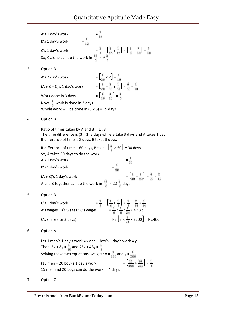|    | $=\frac{1}{16}$<br>A's 1 day's work                                                                                                                                                                                |
|----|--------------------------------------------------------------------------------------------------------------------------------------------------------------------------------------------------------------------|
|    | $=\frac{1}{12}$<br>B's 1 day's work                                                                                                                                                                                |
|    |                                                                                                                                                                                                                    |
|    | C's 1 day's work $=$ $\frac{1}{4}$ $\left[\frac{1}{16} + \frac{1}{12}\right]$ $=$ $\left[\frac{1}{4}$ $\frac{7}{48}\right]$ $=$ $\frac{5}{48}$<br>So, C alone can do the work in $\frac{48}{5}$ $=$ $9\frac{3}{5}$ |
| 3. | Option B                                                                                                                                                                                                           |
|    | $=\left[\frac{1}{20}\times 2\right]=\frac{1}{10}$<br>A's 2 day's work                                                                                                                                              |
|    | $=\left[\frac{1}{20} + \frac{1}{30} + \frac{1}{60}\right] = \frac{6}{60} = \frac{1}{10}$<br>$(A + B + C)'s 1 day's work$                                                                                           |
|    | $=\left[\frac{1}{30}+\frac{1}{30}\right]=\frac{1}{8}$<br>Work done in 3 days                                                                                                                                       |
|    | Now, $\frac{1}{5}$ work is done in 3 days.                                                                                                                                                                         |
|    | Whole work will be done in $(3 \times 5)$ = 15 days                                                                                                                                                                |
| 4. | Option B                                                                                                                                                                                                           |
|    | Ratio of times taken by A and B = $1:3$<br>The time difference is $(3 \t1)$ 2 days while B take 3 days and A takes 1 day.<br>If difference of time is 2 days, B takes 3 days.                                      |
|    | If difference of time is 60 days, B takes $\left[\frac{3}{2} \times 60\right]$ = 90 days                                                                                                                           |
|    | So, A takes 30 days to do the work.                                                                                                                                                                                |
|    | $=\frac{1}{30}$<br>A's 1 day's work                                                                                                                                                                                |
|    | $=\frac{1}{\alpha\alpha}$<br>B's 1 day's work                                                                                                                                                                      |
|    | $=\left[\frac{1}{30}+\frac{1}{90}\right]=\frac{4}{90}=\frac{2}{45}$<br>$(A + B)'s 1 day's work$                                                                                                                    |
|    | A and B together can do the work in $\frac{45}{7}$ = 22 $\frac{1}{7}$ days                                                                                                                                         |
| 5. | Option B                                                                                                                                                                                                           |
|    | $=\frac{1}{2}$ $\left[\frac{1}{6} + \frac{1}{8}\right] = \frac{1}{3}$ $\frac{7}{24} = \frac{1}{24}$<br>C's 1 day's work                                                                                            |
|    | $=\frac{1}{6}:\frac{1}{8}:\frac{1}{24}=4:3:1$<br>A's wages : B's wages : C's wages                                                                                                                                 |
|    | = Rs. $\left[3 \times \frac{1}{24} \times 3200\right]$ = Rs.400<br>C's share (for 3 days)                                                                                                                          |
| 6. | Option A                                                                                                                                                                                                           |
|    | Let 1 man's 1 day's work = x and 1 boy's 1 day's work = y                                                                                                                                                          |
|    | Then, 6x + 8y = $\frac{1}{10}$ and 26x + 48y = $\frac{1}{2}$                                                                                                                                                       |
|    | Solving these two equations, we get : $x = \frac{1}{100}$ and $y = \frac{1}{200}$                                                                                                                                  |
|    | $=\left[\frac{15}{100}+\frac{20}{200}\right]=\frac{1}{4}$<br>$(15$ men + 20 boy)'s 1 day's work                                                                                                                    |
|    | 15 men and 20 boys can do the work in 4 days.                                                                                                                                                                      |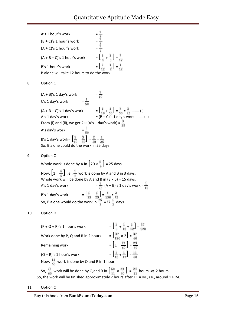A's 1 hour's work  $= \frac{1}{4}$ <br>
(B + C)'s 1 hour's work  $= \frac{1}{3}$ <br>
(A + C)'s 1 hour's work  $= \frac{1}{3}$  $(B + C)'s$  1 hour's work  $(A + C)'s$  1 hour's work  $(A + B + C)'$ s 1 hour's work  $= \left[\frac{1}{4} + \frac{1}{3}\right] = \frac{7}{12}$ B's 1 hour's work  $= \begin{bmatrix} \frac{7}{12} & \frac{1}{2} \end{bmatrix} = \frac{1}{12}$ B alone will take 12 hours to do the w 8. Option C  $(A + B)'$ s 1 day's work  $=\frac{1}{2}$ C's 1 day's work  $=\frac{1}{\pi n}$  $(A + B + C)'$ s 1 day's work  $= \left[\frac{1}{10} + \frac{1}{50}\right] = \frac{6}{50} = \frac{3}{25}$  ........ (i) A's 1 day's work = (B + C)'s 1 day's work …….. (ii) From (i) and (ii), we get 2 × (A's 1 day's work) =  $\frac{3}{25}$ A's day's work  $=\frac{3}{50}$ B's 1 day's work=  $\begin{bmatrix} \frac{1}{10} & \frac{3}{50} \end{bmatrix} = \frac{2}{50} = \frac{1}{25}$ So, B alone could do the work in 25 days. 9. Option C Whole work is done by A in  $\left[20 \times \frac{5}{4}\right]$  = 25 days Now,  $\left[1 \quad \frac{4}{5}\right]$  i.e.,  $\frac{1}{5}$  work is done by A and B in 3 days. Whole work will be done by A and B in  $(3 \times 5)$  = 15 days. A's 1 day's work  $=\frac{1}{25}$ ,  $(A + B)'$ s 1 day's work  $=\frac{1}{15}$ B's 1 day's work  $= \left[\frac{1}{15} \quad \frac{1}{25}\right] = \frac{4}{150} = \frac{2}{75}$ So, B alone would do the work in  $\frac{32}{3}$  =37  $\frac{4}{3}$  days 10. Option D  $(P + Q + R)'$ s 1 hour's work  $= \left[\frac{1}{8} + \frac{1}{10} + \frac{1}{12}\right] = \frac{37}{120}$ Work done by P, Q and R in 2 hours  $= \left[\frac{37}{120} \times 2\right] = \frac{37}{60}$ Remaining work  $= \left[1 - \frac{37}{60}\right] = \frac{23}{60}$  $(Q + R)'$ s 1 hour's work  $= \left[\frac{1}{10} + \frac{1}{12}\right] = \frac{11}{60}$ 

Now,  $\frac{11}{60}$  work is done by Q and R in 1 hour. So,  $\frac{23}{60}$  work will be done by Q and R in  $\left[\frac{60}{11} \times \frac{23}{60}\right] = \frac{23}{11}$  hours  $\approx$  2 hours

So, the work will be finished approximately 2 hours after 11 A.M., i.e., around 1 P.M.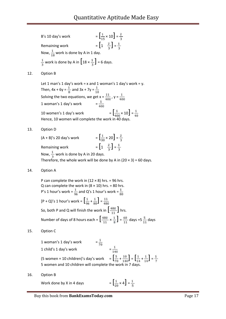- B's 10 day's work  $= \left[\frac{1}{18} \times 10\right] = \frac{2}{3}$ Remaining work  $= \left[1 - \frac{\overline{2}}{\frac{1}{3}}\right] = \frac{1}{\frac{1}{3}}$ Now,  $\frac{1}{18}$  work is done by A in 1 day.  $\frac{1}{3}$  work is done by A in  $\left[18 \times \frac{1}{3}\right] = 6$  days.
- 12. Option B

Let 1 man's 1 day's work = x and 1 woman's 1 day's work = y. Then,  $4x + 6y = \frac{1}{8}$  and  $3x + 7y = \frac{1}{10}$ Solving the two equations, we get  $x = \frac{1}{200}$ ,  $y = \frac{1}{200}$ 1 woman's 1 day's work  $=\frac{1}{200}$ 10 women's 1 day's work  $=$   $\left[\frac{1}{400} \times 10\right] = \frac{1}{40}$ Hence, 10 women will complete the work in 40 days.

13. Option D

 $(A + B)'$ s 20 day's work  $= \left[\frac{1}{30} \times 20\right] = \frac{2}{30}$ Remaining work  $= \left[1 - \frac{\overline{2}}{2}\right] = \frac{1}{2}$ Now,  $\frac{1}{3}$  work is done by A in 20 days. Therefore, the whole work will be done by A in  $(20 \times 3) = 60$  days.

14. Option A

P can complete the work in  $(12 \times 8)$  hrs. = 96 hrs. Q can complete the work in  $(8 \times 10)$  hrs. = 80 hrs. P's 1 hour's work =  $\frac{1}{96}$  and Q's 1 hour's work =  $\frac{1}{90}$  $[P + Q)'$ s 1 hour's work =  $\left[\frac{1}{96} + \frac{1}{80}\right] = \frac{11}{480}$ So, both P and Q will finish the work in  $\left[\frac{480}{11}\right]$  hrs. Number of days of 8 hours each =  $\left[\frac{480}{11} \times \frac{1}{8}\right] = \frac{60}{11}$  days =  $5\frac{5}{11}$  days

15. Option C

1 woman's 1 day's work =  $\frac{1}{70}$  =  $\frac{1}{140}$ 1 child's 1 day's work (5 women + 10 children)'s day's work  $= \left[\frac{5}{70} + \frac{10}{140}\right] = \left[\frac{1}{14} + \frac{1}{14}\right] = \frac{1}{7}$ 5 women and 10 children will complete the work in 7 d

16. Option B

Work done by X in 4 days

$$
= \left[\frac{1}{20} \times 4\right] = \frac{1}{5}
$$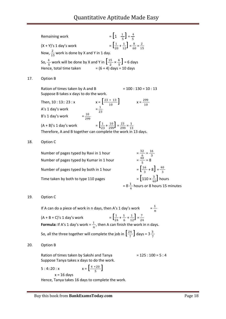| Remaining work                                                                                            | $=\left[1-\frac{1}{5}\right]=\frac{4}{5}$                               |
|-----------------------------------------------------------------------------------------------------------|-------------------------------------------------------------------------|
| $(X + Y)'s 1 day's work$                                                                                  | $=\left[\frac{1}{20}+\frac{1}{12}\right]=\frac{8}{60}=\frac{2}{15}$     |
| Now, $\frac{2}{15}$ work is done by X and Y in 1 day.                                                     |                                                                         |
| So, $\frac{4}{5}$ work will be done by X and Y in $\left[\frac{15}{2} \times \frac{4}{5}\right] = 6$ days |                                                                         |
| Hence, total time taken $= (6 + 4)$ days = 10 days                                                        |                                                                         |
| Option B                                                                                                  |                                                                         |
| Ration of times taken by A and B                                                                          | $= 100 : 130 = 10 : 13$                                                 |
| Suppose B takes x days to do the work.                                                                    |                                                                         |
| Then, $10:13::23:x$                                                                                       | $X = \left[\frac{23 \times 13}{10}\right]$<br>$x = \frac{299}{10}$      |
| $=\frac{1}{23}$<br>A's 1 day's work                                                                       |                                                                         |
| $=\frac{10}{200}$<br>B's 1 day's work                                                                     |                                                                         |
| $(A + B)'s 1 day's work$                                                                                  | $=\left[\frac{1}{23}+\frac{10}{200}\right]=\frac{23}{200}=\frac{1}{13}$ |
| Therefore, A and B together can complete the work in 13 days.                                             |                                                                         |
| Option C                                                                                                  |                                                                         |
| Number of pages typed by Ravi in 1 hour                                                                   | $=\frac{32}{\frac{6}{40}}=\frac{16}{3}$<br>$=\frac{40}{5}=8$            |
| Number of pages typed by Kumar in 1 hour                                                                  |                                                                         |
| Number of pages typed by both in 1 hour                                                                   | $=\left[\frac{16}{2}+8\right]=\frac{40}{2}$                             |

Time taken by both to type 110 pages  $= \left[110 \times \frac{3}{40}\right]$  hours = 8  $\frac{+}{4}$  hours or 8 hours 15 minutes

#### 19. Option C

 $17.$ 

18.

If A can do a piece of work in n days, then A's 1 day's work  $=\frac{1}{n}$  $(A + B + C)'$ s 1 day's work  $= \left[\frac{1}{24} + \frac{1}{6} + \frac{1}{12}\right] = \frac{7}{24}$ **Formula:** If A's 1 day's work  $=$   $\frac{1}{2}$ , then A can finish the work in n days. So, all the three together will complete the job in  $\left[\frac{24}{7}\right]$  days =  $3\frac{3}{7}$ 

#### 20. Option B

Ration of times taken by Sakshi and Tanya  $= 125 : 100 = 5 : 4$ Suppose Tanya takes x days to do the work.

5 : 4::20 : x  $x = \left[\frac{4 \times 20}{5}\right]$ 

 $x = 16$  days

Hence, Tanya takes 16 days to complete the work.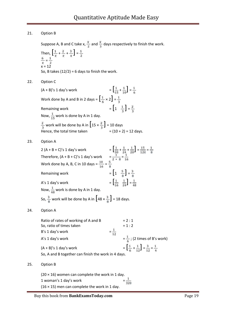#### 21. Option B

Suppose A, B and C take x,  $\frac{x}{2}$  and  $\frac{x}{3}$  days respectively to finish the work. Then,  $\left[\frac{1}{x} + \frac{2}{x} + \frac{3}{x}\right] = \frac{1}{2}$  $=\frac{1}{N}$  $x = 12$ So, B takes  $(12/2) = 6$  days to finish the work.

22. Option C

23.

 $24.$ 

 $25.$ 

| $(A + B)'s 1 day's work$                                                                                                                                                            |                 | $=\left[\frac{1}{1.6}+\frac{1}{1.0}\right]=\frac{1}{6}$                           |
|-------------------------------------------------------------------------------------------------------------------------------------------------------------------------------------|-----------------|-----------------------------------------------------------------------------------|
| Work done by A and B in 2 days = $\left[\frac{1}{6} \times 2\right] = \frac{1}{3}$                                                                                                  |                 |                                                                                   |
| Remaining work<br>Now, $\frac{1}{15}$ work is done by A in 1 day.                                                                                                                   |                 | $=\left[1-\frac{1}{3}\right]=\frac{2}{3}$                                         |
| $\frac{2}{3}$ work will be done by A in $\left[15 \times \frac{2}{3}\right]$ = 10 days<br>Hence, the total time taken                                                               |                 | $= (10 + 2) = 12$ days.                                                           |
| Option A                                                                                                                                                                            |                 |                                                                                   |
| $2(A + B + C)'s 1 day's work$<br>Therefore, $(A + B + C)'s$ 1 day's work $= \frac{1}{2 \times 8} = \frac{1}{16}$<br>Work done by A, B, C in 10 days = $\frac{10}{16} = \frac{5}{8}$ |                 | $=\left[\frac{1}{30}+\frac{1}{24}+\frac{1}{20}\right]=\frac{15}{120}=\frac{1}{8}$ |
| Remaining work                                                                                                                                                                      |                 | $= \left[ \begin{matrix} 1 & \frac{5}{8} \end{matrix} \right] = \frac{3}{8}$      |
| A's 1 day's work<br>Now, $\frac{1}{4R}$ work is done by A in 1 day.                                                                                                                 |                 | $=\left[\frac{1}{12},\frac{1}{24}\right]=\frac{1}{18}$                            |
| So, $\frac{3}{9}$ work will be done by A in $\left[48 \times \frac{3}{9}\right] = 18$ days.                                                                                         |                 |                                                                                   |
| Option A                                                                                                                                                                            |                 |                                                                                   |
| Ratio of rates of working of A and B<br>So, ratio of times taken<br>B's 1 day's work                                                                                                | $=\frac{1}{12}$ | $= 2 : 1$<br>$= 1:2$                                                              |
| A's 1 day's work                                                                                                                                                                    |                 | $=\frac{1}{6}$ ; (2 times of B's work)                                            |
| $(A + B)'s 1 day's work$<br>So, A and B together can finish the work in 4 days.                                                                                                     |                 | $=\left[\frac{1}{6}+\frac{1}{12}\right]=\frac{3}{12}=\frac{1}{4}$                 |
| Option B                                                                                                                                                                            |                 |                                                                                   |

(20 × 16) women can complete the work in 1 day.<br>1 woman's 1 day's work  $=$   $\frac{1}{320}$ 1 woman's 1 day's work =  $(16 \times 15)$  men can complete the work in 1 day.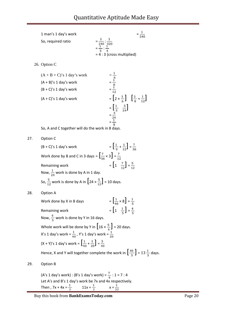1 man's 1 day's work  
So, required ratio  

$$
= \frac{1}{240} : \frac{1}{320}
$$

$$
= \frac{1}{3} : \frac{1}{4}
$$

$$
= 4 : 3 (cross multiplied)
$$

26. Option C

(A + B + C)'s 1 day's work  
\n(A + B)'s 1 day's work  
\n(B + C)'s 1 day's work  
\n
$$
= \frac{1}{\frac{8}{8}}
$$
\n
$$
= \frac{1}{\frac{12}{12}}
$$
\n
$$
= \left[2 \times \frac{1}{\frac{5}{6}}\right] \left[\frac{1}{8} + \frac{1}{12}\right]
$$
\n
$$
= \left[\frac{1}{3} \times \frac{5}{24}\right]
$$
\n
$$
= \frac{1}{3}
$$
\n
$$
= \frac{1}{3}
$$
\n
$$
= \frac{1}{3}
$$

So, A and C together will do the work in 8 days.

27. Option C

$$
(B + C)'s 1 day's work = \left[\frac{1}{9} + \frac{1}{12}\right] = \frac{7}{36}
$$
  
Work done by B and C in 3 days =  $\left[\frac{7}{36} \times 3\right] = \frac{7}{12}$   
Remaining work =  $\left[1 - \frac{7}{12}\right] = \frac{5}{12}$   
Now,  $\frac{1}{24}$  work is done by A in 1 day.  
So,  $\frac{5}{12}$  work is done by A in  $\left[24 \times \frac{5}{12}\right] = 10$  days.

28. Option A

Work done by X in 8 days  $= \left[\frac{1}{40} \times 8\right] = \frac{1}{5}$ Remaining work  $= \left[1 - \frac{1}{5}\right] = \frac{4}{5}$ Now,  $\frac{4}{5}$  work is done by Y in 16 days. Whole work will be done by Y in  $\left[16 \times \frac{5}{4}\right]$  = 20 days. X's 1 day's work =  $\frac{1}{30}$ , Y's 1 day's work =  $\frac{1}{30}$  $(X + Y)'$ s 1 day's work =  $\left[\frac{1}{40} + \frac{1}{20}\right] = \frac{3}{40}$ Hence, X and Y will together complete the work in  $\left[\frac{40}{3}\right] = 13\frac{1}{3}$  days. 29. Option B

> (A's 1 day's work) : (B's 1 day's work) =  $\frac{1}{2}$  : 1 = 7 : 4 Let A's and B's 1 day's work be 7x and 4x respectively. Then ,  $7x + 4x = \frac{1}{7}$   $11x = \frac{1}{7}$   $x = \frac{1}{77}$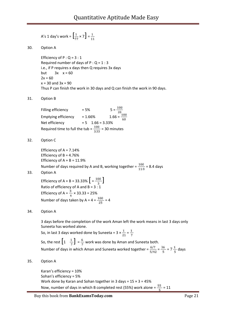A's 1 day's work = 
$$
\left[\frac{1}{77} \times 7\right] = \frac{1}{11}
$$

30. Option A

Efficiency of  $P: Q = 3:1$ Required number of days of  $P: Q = 1:3$ i.e., if P requires x days then Q requires 3x days but  $3x \times 50$  $2x = 60$  $x = 30$  and  $3x = 90$ Thus P can finish the work in 30 days and Q can finish the work in 90 days.

- 31. Option B
	- Filling efficiency  $= 5\%$   $= 5\%$ Emptying efficiency =  $1.66\%$  1.66 =  $\frac{100}{60}$ Net efficiency  $= 5$   $1.66 = 3.33\%$ Required time to full the tub =  $\frac{100}{3.33}$  = 30 minutes
- 32. Option C

Efficiency of  $A = 7.14%$ Efficiency of  $B = 4.76%$ Efficiency of  $A + B = 11.9%$ Number of days required by A and B, working together =  $\frac{100}{11.9}$  = 8.4 days

33. Option A

Efficiency of A + B = 33.33%  $\left[ = \frac{100}{3} \right]$ Ratio of efficiency of A and B = 3 : 1 Efficiency of A =  $\frac{3}{4}$  × 33.33 = 25% Number of days taken by A =  $4 = \frac{100}{25} = 4$ 

34. Option A

3 days before the completion of the work Aman left the work means in last 3 days only Suneeta has worked alone.

So, in last 3 days worked done by Suneeta =  $3 \times \frac{1}{21} = \frac{1}{7}$ 

So, the rest  $\left[1 \quad \frac{1}{7}\right] = \frac{6}{7}$  work was done by Aman and Suneeta both. Number of days in which Aman and Suneeta worked together =  $\frac{6/7}{5/42} = \frac{36}{5} = 7 \frac{1}{5}$  days

35. Option A

Karan's efficiency = 10% Sohan's efficiency = 5% Work done by Karan and Sohan together in 3 days =  $15 \times 3 = 45\%$ Now, number of days in which B completed rest (55%) work alone =  $\frac{55}{5}$  = 11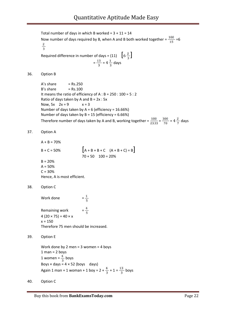Total number of days in which B worked =  $3 + 11 = 14$ Now number of days required by B, when A and B both worked together =  $\frac{100}{15}$  = 6  $\frac{2}{3}$ Required difference in number of days =  $(11)$   $\left[6\frac{\overline{2}}{3}\right]$  $=\frac{13}{3}$  = 4 $\frac{1}{3}$  days 36. Option B  $A's share = Rs.250$  $B's share = Rs.100$ It means the ratio of efficiency of A : B = 250 : 100 = 5 : 2 Ratio of days taken by A and  $B = 2x : 5x$ Now,  $5x$   $2x = 9$   $x = 3$ Number of days taken by  $A = 6$  (efficiency = 16.66%) Number of days taken by  $B = 15$  (efficiency = 6.66%) Therefore number of days taken by A and B, working together =  $\frac{100}{23.33} = \frac{300}{70} = 4\frac{2}{7}$  days 37. Option A  $A + B = 70%$  $B + C = 50\%$   $[A + B + B + C \ (A + B + C) = B]$  $70 + 50$   $100 = 20%$  $B = 20%$  $A = 50%$  $C = 30%$ Hence, A is most efficient. 38. Option C Work done  $=\frac{1}{5}$ Remaining work  $=\frac{4}{5}$ 4 (20  $\times$  75) = 40  $\times$  x  $x = 150$ Therefore 75 men should be increased. 39. Option E Work done by 2 men = 3 women = 4 boys  $1$  man =  $2$  boys

1 women =  $\frac{4}{3}$  boys Boys  $\times$  days = 4  $\times$  52 (boys days) Again 1 man + 1 woman + 1 boy =  $2 + \frac{4}{3} + 1 = \frac{13}{3}$  boys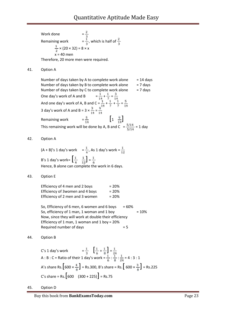Work done  $=\frac{2}{9}$ Remaining work  $=\frac{1}{6}$ , which is half of  $\frac{4}{6}$  $\frac{1}{2}$  × (20 × 32) = 8 × x  $= 40$  men Therefore, 20 more men were required.

41. Option A

Number of days taken by A to complete work alone  $= 14$  days Number of days taken by B to complete work alone  $= 7$  days Number of days taken by C to complete work alone  $= 7$  days One day's work of A and B  $=\frac{1}{3}+\frac{1}{9}=\frac{9}{3}$ And one day's work of A, B and  $C = \frac{1}{2} + \frac{1}{2} + \frac{1}{2} = \frac{3}{24}$ 3 day's work of A and B =  $3 \times \frac{3}{24} = \frac{3}{24}$ Remaining work  $=$   $\frac{5}{14}$   $\left[1 - \frac{9}{14}\right]$ This remaining work will be done by A, B and C  $=\frac{5/14}{5/14}=1$  day

42. Option A

 $(A + B)'$ s 1 day's work =  $\frac{1}{4}$ , As 1 day's work =  $\frac{1}{12}$ B's 1 day's work=  $\begin{bmatrix} \frac{1}{4} & \frac{1}{12} \end{bmatrix} = \frac{1}{6}$ Hence, B alone can complete the work in 6 days.

43. Option E

| Efficiency of 4 men and 2 boys  | $= 20%$ |
|---------------------------------|---------|
| Efficiency of 3women and 4 boys | $= 20%$ |
| Efficiency of 2 men and 3 women | $= 20%$ |

So, Efficiency of 6 men, 6 women and 6 boys  $= 60\%$ So, efficiency of 1 man, 1 woman and 1 boy  $= 10\%$ Now, since they will work at double their efficiency Efficiency of 1 man, 1 woman and 1 boy = 20% Required number of days  $= 5$ 

44. Option B

C's 1 day's work  $= \frac{1}{3} \left[ \frac{1}{6} + \frac{1}{8} \right] = \frac{1}{24}$ A : B : C = Ratio of their 1 day's work =  $\frac{1}{2}$  :  $\frac{1}{8}$  :  $\frac{1}{8}$  = 4 : 3 : 1 A's share Rs.  $\left[600 \times \frac{4}{8} \right]$  = Rs.300, B's share = Rs.  $\left[600 \times \frac{3}{8} \right]$  = Rs.225  $C's share = Rs. [600 (300 + 225)] = Rs.75$ 

45. Option D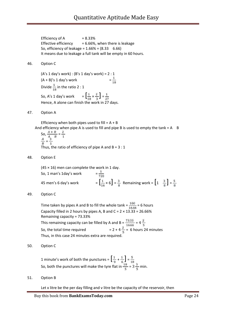Efficiency of A  $= 8.33\%$ Effective efficiency  $= 6.66\%$ , when there is leakage So, efficiency of leakage = 1.66% = (8.33 6.66) It means due to leakage a full tank will be empty in 60 hours.

#### 46. Option C

(A's 1 day's work) : (B's 1 day's work) = 2 : 1  $(A + B)'s 1 day's work$ Divide  $\frac{1}{18}$  in the ratio 2 : 1 So, A's 1 day's work  $= \left[\frac{1}{18} \times \frac{2}{3}\right] = \frac{1}{27}$ Hence, A alone can finish the work in 27 days.

47. Option A

Efficiency when both pipes used to fill =  $A + B$ And efficiency when pipe A is used to fill and pipe B is used to empty the  $tan k = A$  B

So, 
$$
\frac{A+B}{\frac{A}{B}} = \frac{\frac{2}{3}}{\frac{3}{1}}
$$
  
Thus, the ratio of efficiency of pipe A and B = 3 : 1

48. Option E

(45 × 16) men can complete the work in 1 day.<br>So, 1 man's 1day's work  $= \frac{1}{720}$ So, 1 man's 1day's work = 45 men's 6 day's work  $= \left[\frac{1}{16} \times 6\right] = \frac{3}{8}$  Remaining work =  $\left[1 - \frac{3}{8}\right] = \frac{5}{8}$ 

49. Option C

Time taken by pipes A and B to fill the whole  $tanh = \frac{100}{16.66} = 6$  hours Capacity filled in 2 hours by pipes A, B and  $C = 2 \times 13.33 = 26.66\%$ Remaining capacity = 73.33% This remaining capacity can be filled by A and B  $=\frac{73.33}{\pi}\frac{2}{16.66}=4\frac{2}{5}$ So, the total time required  $= 2 + 4 \frac{2}{5} = 6$  hours 24 minutes Thus, in this case 24 minutes extra are required.

50. Option C

1 minute's work of both the punctures =  $\left[\frac{1}{9} + \frac{1}{6}\right] = \frac{5}{18}$ So, both the punctures will make the tyre flat in  $\frac{40}{5}$  = 3  $\frac{3}{5}$  min.

51. Option B

Let x litre be the per day filling and v litre be the capacity of the reservoir, then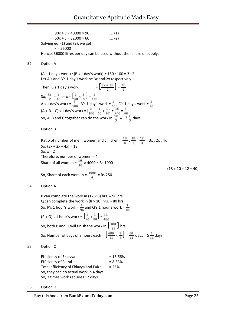$90x + v = 40000 \times 90$  .... (1)  $60x + v = 32000 \times 60$  .... (2) Solving eq. (1) and (2), we get  $x = 56000$ Hence, 56000 litres per day can be used without the failure of supply.

52. Option A

(A's 1 day's work) : (B's 1 day's work) = 150 : 100 = 3 : 2 Let A's and B's 1 day's work be 3x and 2x respectively.

Then, C's 1 day's work  $= \left[\frac{3x + 2x}{x}\right] = \frac{5x}{x}$ So,  $\frac{5x}{2} = \frac{1}{40}$  or  $x = \left[\frac{1}{40} \times \frac{2}{5}\right] = \frac{1}{100}$ A's 1 day's work =  $\frac{9}{100}$ ; B's 1 day's work =  $\frac{1}{60}$ ; C's 1 day's work =  $\frac{1}{400}$  $(A + B + C)'$ s 1 day's work =  $\left[\frac{e}{100} + \frac{1}{200} + \frac{1}{200}\right] = \frac{100}{200} = \frac{9}{200}$ So, A, B and C together can do the work in  $\frac{70}{3}$  = 13 $\frac{1}{3}$  days

53. Option B

Ratio of number of men, women and children =  $\frac{18}{6}$  :  $\frac{10}{5}$  :  $\frac{12}{3}$  = 3x : 2x : 4x So,  $(3x + 2x + 4x) = 18$ So,  $x = 2$ Therefore, number of women = 4 Share of all women =  $\frac{10}{40}$  × 4000 = Rs.1000  $(18 + 10 + 12 = 40)$ So, Share of each woman =  $\frac{1000}{4}$  = Rs.250

54. Option A

P can complete the work in  $(12 \times 8)$  hrs. = 96 hrs. Q can complete the work in  $(8 \times 10)$  hrs. = 80 hrs. So, P's 1 hour's work =  $\frac{1}{96}$  and Q's 1 hour's work =  $\frac{1}{90}$  $(P + Q)'$ s 1 hour's work =  $\left[\frac{1}{96} + \frac{1}{80}\right] = \frac{11}{480}$ So, both P and Q will finish the work in  $\left[\frac{480}{11}\right]$  hrs. So, Number of days of 8 hours each =  $\left[\frac{480}{11} \times \frac{1}{8}\right] = \frac{60}{11}$  days =  $5\frac{5}{11}$  days

55. Option C

Efficiency of Eklavya = 16.66%  $Efficiency of Faizal = 8.33%$ Total efficiency of Eklavya and Faizal  $= 25%$ So, they can do actual work in 4 days So, 3 times work requires 12 days.

56. Option D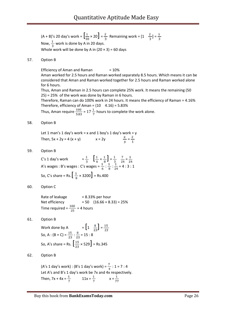$(A + B)'$ s 20 day's work =  $\left[\frac{1}{30} \times 20\right] = \frac{2}{3}$  Remaining work =  $\left[1 - \frac{2}{3}\right] = \frac{1}{3}$ Now,  $\frac{1}{3}$  work is done by A in 20 days. Whole work will be done by A in  $(20 \times 3) = 60$  days

57. Option B

Efficiency of Aman and Raman  $= 10\%$ Aman worked for 2.5 hours and Raman worked separately 8.5 hours. Which means it can be considered that Aman and Raman worked together for 2.5 hours and Raman worked alone for 6 hours.

Thus, Aman and Raman in 2.5 hours can complete 25% work. It means the remaining (50 25) = 25% of the work was done by Raman in 6 hours.

Therefore, Raman can do 100% work in 24 hours. It means the efficiency of Raman = 4.16% Therefore, efficiency of Aman =  $(10 \quad 4.16) = 5.83\%$ 

Thus, Aman require  $\frac{100}{5.83}$  = 17  $\frac{1}{7}$  hours to complete the work alone.

#### 58. Option B

Let 1 man's 1 day's work = x and 1 boy's 1 day's work =  $y$ Then,  $5x + 2y = 4(x + y)$   $x = 2y$   $\frac{x}{y} = \frac{z}{1}$ 

59. Option B

C's 1 day's work 
$$
= \frac{1}{3} \left[ \frac{1}{6} + \frac{1}{8} \right] = \frac{1}{3} \cdot \frac{7}{24} = \frac{1}{24}
$$
  
A's wages : B's wages : C's wages  $= \frac{1}{6} : \frac{1}{8} : \frac{1}{24} = 4 : 3 : 1$   
So, C's share = Rs.  $\left[ \frac{1}{8} \times 3200 \right]$  = Rs.400

60. Option C

Rate of leakage  $= 8.33\%$  per hour Net efficiency  $= 50 (16.66 + 8.33) = 25%$ Time required =  $\frac{100}{25}$  = 4 hours

61. Option B

Work done by A  $= \left[1 \quad \frac{8}{23}\right] = \frac{15}{23}$ So, A :  $(B + C) = \frac{13}{25}$  :  $\frac{8}{25} = 15 : 8$ So, A's share = Rs.  $\left[\frac{15}{23} \times 529\right]$  = Rs.345

62. Option B

(A's 1 day's work) : (B's 1 day's work) =  $\frac{1}{2}$  : 1 = 7 : 4 Let A's and B's 1 day's work be 7x and 4x respectively. Then,  $7x + 4x = \frac{1}{7}$   $11x = \frac{1}{7}$   $x = \frac{1}{77}$